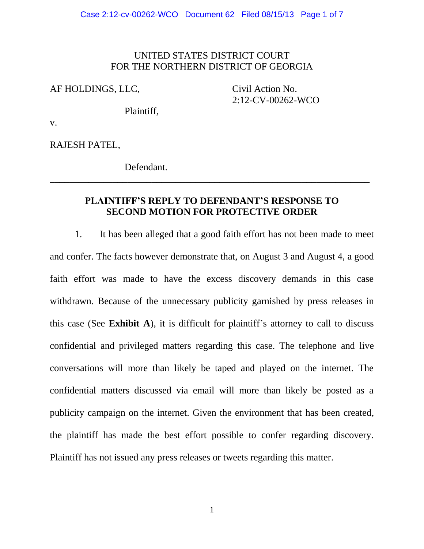### UNITED STATES DISTRICT COURT FOR THE NORTHERN DISTRICT OF GEORGIA

AF HOLDINGS, LLC, Civil Action No.

2:12-CV-00262-WCO

Plaintiff,

v.

RAJESH PATEL,

Defendant.

### **PLAINTIFF'S REPLY TO DEFENDANT'S RESPONSE TO SECOND MOTION FOR PROTECTIVE ORDER**

\_\_\_\_\_\_\_\_\_\_\_\_\_\_\_\_\_\_\_\_\_\_\_\_\_\_\_\_\_\_\_\_\_\_\_\_\_\_\_\_\_\_\_\_\_\_\_\_\_\_\_\_\_\_\_\_\_\_\_\_\_\_\_\_\_\_

1. It has been alleged that a good faith effort has not been made to meet and confer. The facts however demonstrate that, on August 3 and August 4, a good faith effort was made to have the excess discovery demands in this case withdrawn. Because of the unnecessary publicity garnished by press releases in this case (See **Exhibit A**), it is difficult for plaintiff's attorney to call to discuss confidential and privileged matters regarding this case. The telephone and live conversations will more than likely be taped and played on the internet. The confidential matters discussed via email will more than likely be posted as a publicity campaign on the internet. Given the environment that has been created, the plaintiff has made the best effort possible to confer regarding discovery. Plaintiff has not issued any press releases or tweets regarding this matter.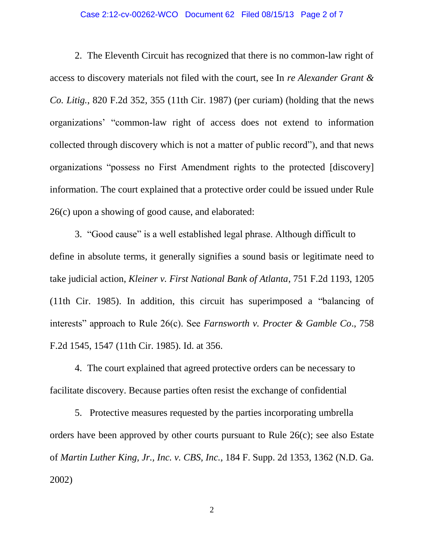#### Case 2:12-cv-00262-WCO Document 62 Filed 08/15/13 Page 2 of 7

2. The Eleventh Circuit has recognized that there is no common-law right of access to discovery materials not filed with the court, see In *re Alexander Grant & Co. Litig.*, 820 F.2d 352, 355 (11th Cir. 1987) (per curiam) (holding that the news organizations' "common-law right of access does not extend to information collected through discovery which is not a matter of public record"), and that news organizations "possess no First Amendment rights to the protected [discovery] information. The court explained that a protective order could be issued under Rule 26(c) upon a showing of good cause, and elaborated:

3. "Good cause" is a well established legal phrase. Although difficult to define in absolute terms, it generally signifies a sound basis or legitimate need to take judicial action, *Kleiner v. First National Bank of Atlanta*, 751 F.2d 1193, 1205 (11th Cir. 1985). In addition, this circuit has superimposed a "balancing of interests" approach to Rule 26(c). See *Farnsworth v. Procter & Gamble Co*., 758 F.2d 1545, 1547 (11th Cir. 1985). Id. at 356.

4. The court explained that agreed protective orders can be necessary to facilitate discovery. Because parties often resist the exchange of confidential

5. Protective measures requested by the parties incorporating umbrella orders have been approved by other courts pursuant to Rule 26(c); see also Estate of *Martin Luther King, Jr., Inc. v. CBS, Inc.,* 184 F. Supp. 2d 1353, 1362 (N.D. Ga. 2002)

2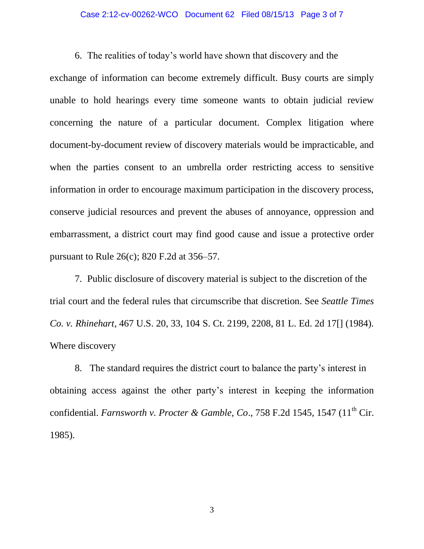#### Case 2:12-cv-00262-WCO Document 62 Filed 08/15/13 Page 3 of 7

6. The realities of today's world have shown that discovery and the

exchange of information can become extremely difficult. Busy courts are simply unable to hold hearings every time someone wants to obtain judicial review concerning the nature of a particular document. Complex litigation where document-by-document review of discovery materials would be impracticable, and when the parties consent to an umbrella order restricting access to sensitive information in order to encourage maximum participation in the discovery process, conserve judicial resources and prevent the abuses of annoyance, oppression and embarrassment, a district court may find good cause and issue a protective order pursuant to Rule 26(c); 820 F.2d at 356–57.

7. Public disclosure of discovery material is subject to the discretion of the trial court and the federal rules that circumscribe that discretion. See *Seattle Times Co. v. Rhinehart*, 467 U.S. 20, 33, 104 S. Ct. 2199, 2208, 81 L. Ed. 2d 17[] (1984). Where discovery

8. The standard requires the district court to balance the party's interest in obtaining access against the other party's interest in keeping the information confidential. *Farnsworth v. Procter & Gamble, Co.*, 758 F.2d 1545, 1547 (11<sup>th</sup> Cir. 1985).

3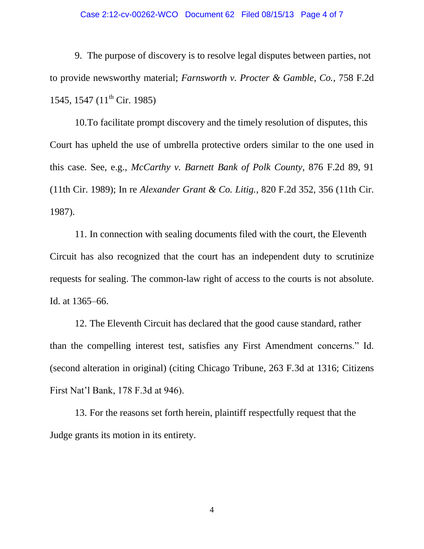#### Case 2:12-cv-00262-WCO Document 62 Filed 08/15/13 Page 4 of 7

9. The purpose of discovery is to resolve legal disputes between parties, not to provide newsworthy material; *Farnsworth v. Procter & Gamble, Co.*, 758 F.2d 1545, 1547 (11<sup>th</sup> Cir. 1985)

10.To facilitate prompt discovery and the timely resolution of disputes, this Court has upheld the use of umbrella protective orders similar to the one used in this case. See, e.g., *McCarthy v. Barnett Bank of Polk County*, 876 F.2d 89, 91 (11th Cir. 1989); In re *Alexander Grant & Co. Litig.*, 820 F.2d 352, 356 (11th Cir. 1987).

11. In connection with sealing documents filed with the court, the Eleventh Circuit has also recognized that the court has an independent duty to scrutinize requests for sealing. The common-law right of access to the courts is not absolute. Id. at 1365–66.

12. The Eleventh Circuit has declared that the good cause standard, rather than the compelling interest test, satisfies any First Amendment concerns." Id. (second alteration in original) (citing Chicago Tribune, 263 F.3d at 1316; Citizens First Nat'l Bank, 178 F.3d at 946).

13. For the reasons set forth herein, plaintiff respectfully request that the Judge grants its motion in its entirety.

4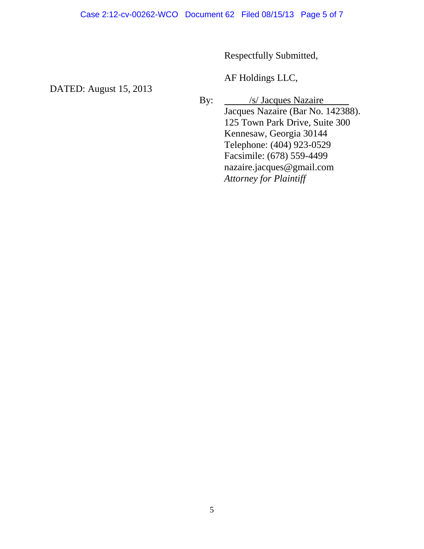Respectfully Submitted,

AF Holdings LLC,

DATED: August 15, 2013

By: <u>/s/ Jacques Nazaire</u> Jacques Nazaire (Bar No. 142388). 125 Town Park Drive, Suite 300 Kennesaw, Georgia 30144 Telephone: (404) 923-0529 Facsimile: (678) 559-4499 nazaire.jacques@gmail.com *Attorney for Plaintiff*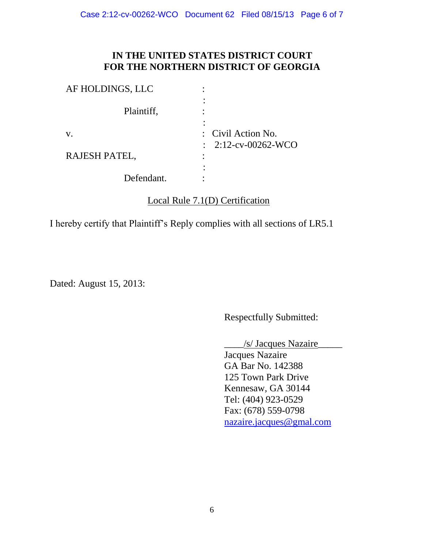## **IN THE UNITED STATES DISTRICT COURT FOR THE NORTHERN DISTRICT OF GEORGIA**

| AF HOLDINGS, LLC |                                                      |
|------------------|------------------------------------------------------|
| Plaintiff,       |                                                      |
| V.               | : Civil Action No.<br>$\therefore$ 2:12-cv-00262-WCO |
| RAJESH PATEL,    |                                                      |
| Defendant.       |                                                      |

## Local Rule 7.1(D) Certification

I hereby certify that Plaintiff's Reply complies with all sections of LR5.1

Dated: August 15, 2013:

Respectfully Submitted:

 $\frac{1}{s}$  Jacques Nazaire

Jacques Nazaire GA Bar No. 142388 125 Town Park Drive Kennesaw, GA 30144 Tel: (404) 923-0529 Fax: (678) 559-0798 [nazaire.jacques@gmal.](mailto:nazaire.jacques@gmal)com